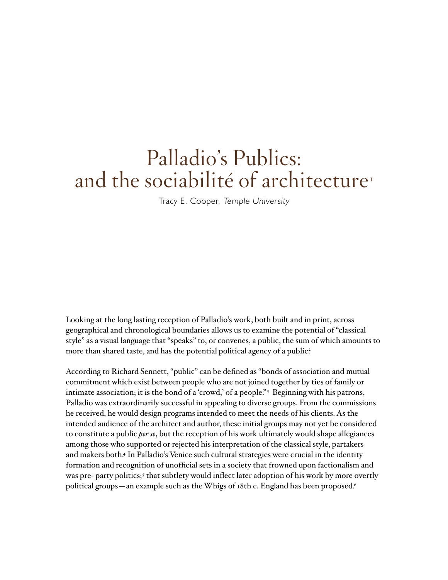## Palladio's Publics: and the sociabilité of architecture<sup>1</sup>

Tracy E. Cooper, Temple University

Looking at the long lasting reception of Palladio's work, both built and in print, across geographical and chronological boundaries allows us to examine the potential of "classical style" as a visual language that "speaks" to, or convenes, a public, the sum of which amounts to more than shared taste, and has the potential political agency of a public?

According to Richard Sennett, "public" can be defined as "bonds of association and mutual commitment which exist between people who are not joined together by ties of family or intimate association; it is the bond of a 'crowd,' of a people."<sup>3</sup> Beginning with his patrons, Palladio was extraordinarily successful in appealing to diverse groups. From the commissions he received, he would design programs intended to meet the needs of his clients. As the intended audience of the architect and author, these initial groups may not yet be considered to constitute a public *per se*, but the reception of his work ultimately would shape allegiances among those who supported or rejected his interpretation of the classical style, partakers and makers both.4 In Palladio's Venice such cultural strategies were crucial in the identity formation and recognition of unofficial sets in a society that frowned upon factionalism and was pre- party politics;<sup>5</sup> that subtlety would inflect later adoption of his work by more overtly political groups—an example such as the Whigs of 18th c. England has been proposed.<sup>6</sup>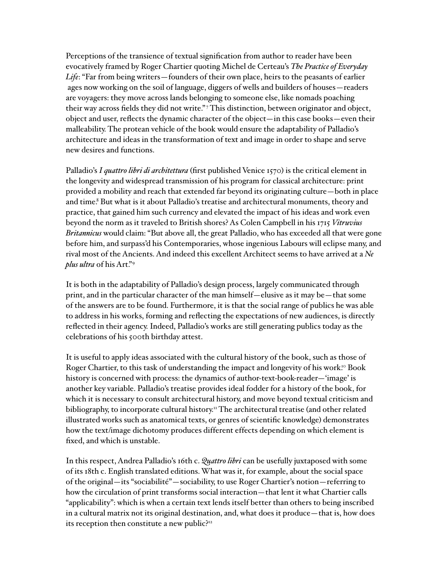Perceptions of the transience of textual signification from author to reader have been evocatively framed by Roger Chartier quoting Michel de Certeau's *The Practice of Everyday Life*: "Far from being writers—founders of their own place, heirs to the peasants of earlier ages now working on the soil of language, diggers of wells and builders of houses—readers are voyagers: they move across lands belonging to someone else, like nomads poaching their way across fields they did not write."<sup>7</sup> This distinction, between originator and object, object and user, reflects the dynamic character of the object—in this case books—even their malleability. The protean vehicle of the book would ensure the adaptability of Palladio's architecture and ideas in the transformation of text and image in order to shape and serve new desires and functions.

Palladio's *I quattro libri di architettura* (first published Venice 1570) is the critical element in the longevity and widespread transmission of his program for classical architecture: print provided a mobility and reach that extended far beyond its originating culture—both in place and time.<sup>8</sup> But what is it about Palladio's treatise and architectural monuments, theory and practice, that gained him such currency and elevated the impact of his ideas and work even beyond the norm as it traveled to British shores? As Colen Campbell in his 1715 *Vitruvius Britannicus* would claim: "But above all, the great Palladio, who has exceeded all that were gone before him, and surpass'd his Contemporaries, whose ingenious Labours will eclipse many, and rival most of the Ancients. And indeed this excellent Architect seems to have arrived at a *Ne plus ultra* of his Art."9

It is both in the adaptability of Palladio's design process, largely communicated through print, and in the particular character of the man himself—elusive as it may be—that some of the answers are to be found. Furthermore, it is that the social range of publics he was able to address in his works, forming and reflecting the expectations of new audiences, is directly reflected in their agency. Indeed, Palladio's works are still generating publics today as the celebrations of his 500th birthday attest.

It is useful to apply ideas associated with the cultural history of the book, such as those of Roger Chartier, to this task of understanding the impact and longevity of his work.<sup>10</sup> Book history is concerned with process: the dynamics of author-text-book-reader—'image' is another key variable. Palladio's treatise provides ideal fodder for a history of the book, for which it is necessary to consult architectural history, and move beyond textual criticism and bibliography, to incorporate cultural history.<sup>11</sup> The architectural treatise (and other related illustrated works such as anatomical texts, or genres of scientific knowledge) demonstrates how the text/image dichotomy produces different effects depending on which element is fixed, and which is unstable.

In this respect, Andrea Palladio's 16th c. *Quattro libri* can be usefully juxtaposed with some of its 18th c. English translated editions. What was it, for example, about the social space of the original—its "sociabilité"—sociability, to use Roger Chartier's notion—referring to how the circulation of print transforms social interaction—that lent it what Chartier calls "applicability": which is when a certain text lends itself better than others to being inscribed in a cultural matrix not its original destination, and, what does it produce—that is, how does its reception then constitute a new public?<sup>12</sup>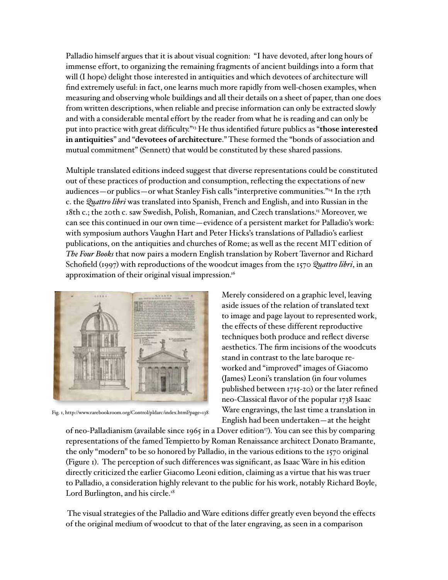Palladio himself argues that it is about visual cognition: "I have devoted, after long hours of immense effort, to organizing the remaining fragments of ancient buildings into a form that will (I hope) delight those interested in antiquities and which devotees of architecture will find extremely useful: in fact, one learns much more rapidly from well-chosen examples, when measuring and observing whole buildings and all their details on a sheet of paper, than one does from written descriptions, when reliable and precise information can only be extracted slowly and with a considerable mental effort by the reader from what he is reading and can only be put into practice with great difficulty."13 He thus identified future publics as "**those interested in antiquities**" and "**devotees of architecture**." These formed the "bonds of association and mutual commitment" (Sennett) that would be constituted by these shared passions.

Multiple translated editions indeed suggest that diverse representations could be constituted out of these practices of production and consumption, reflecting the expectations of new audiences—or publics—or what Stanley Fish calls "interpretive communities."14 In the 17th c. the *Quattro libri* was translated into Spanish, French and English, and into Russian in the 18th c.; the 20th c. saw Swedish, Polish, Romanian, and Czech translations.15 Moreover, we can see this continued in our own time—evidence of a persistent market for Palladio's work: with symposium authors Vaughn Hart and Peter Hicks's translations of Palladio's earliest publications, on the antiquities and churches of Rome; as well as the recent MIT edition of *The Four Books* that now pairs a modern English translation by Robert Tavernor and Richard Schofield (1997) with reproductions of the woodcut images from the 1570 *Quattro libri*, in an approximation of their original visual impression.<sup>16</sup>



Fig. 1, http://www.rarebookroom.org/Control/pldarc/index.html?page=138

Merely considered on a graphic level, leaving aside issues of the relation of translated text to image and page layout to represented work, the effects of these different reproductive techniques both produce and reflect diverse aesthetics. The firm incisions of the woodcuts stand in contrast to the late baroque reworked and "improved" images of Giacomo (James) Leoni's translation (in four volumes published between 1715-20) or the later refined neo-Classical flavor of the popular 1738 Isaac Ware engravings, the last time a translation in English had been undertaken—at the height

of neo-Palladianism (available since 1965 in a Dover edition<sup>17</sup>). You can see this by comparing representations of the famed Tempietto by Roman Renaissance architect Donato Bramante, the only "modern" to be so honored by Palladio, in the various editions to the 1570 original (Figure 1). The perception of such differences was significant, as Isaac Ware in his edition directly criticized the earlier Giacomo Leoni edition, claiming as a virtue that his was truer to Palladio, a consideration highly relevant to the public for his work, notably Richard Boyle, Lord Burlington, and his circle.<sup>18</sup>

 The visual strategies of the Palladio and Ware editions differ greatly even beyond the effects of the original medium of woodcut to that of the later engraving, as seen in a comparison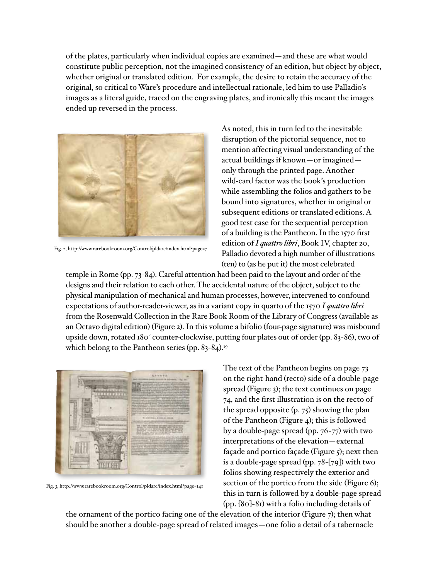of the plates, particularly when individual copies are examined—and these are what would constitute public perception, not the imagined consistency of an edition, but object by object, whether original or translated edition. For example, the desire to retain the accuracy of the original, so critical to Ware's procedure and intellectual rationale, led him to use Palladio's images as a literal guide, traced on the engraving plates, and ironically this meant the images ended up reversed in the process.



Fig. 2, http://www.rarebookroom.org/Control/pldarc/index.html?page=7

As noted, this in turn led to the inevitable disruption of the pictorial sequence, not to mention affecting visual understanding of the actual buildings if known—or imagined only through the printed page. Another wild-card factor was the book's production while assembling the folios and gathers to be bound into signatures, whether in original or subsequent editions or translated editions. A good test case for the sequential perception of a building is the Pantheon. In the 1570 first edition of *I quattro libri*, Book IV, chapter 20, Palladio devoted a high number of illustrations (ten) to (as he put it) the most celebrated

temple in Rome (pp. 73-84). Careful attention had been paid to the layout and order of the designs and their relation to each other. The accidental nature of the object, subject to the physical manipulation of mechanical and human processes, however, intervened to confound expectations of author-reader-viewer, as in a variant copy in quarto of the 1570 *I quattro libri* from the Rosenwald Collection in the Rare Book Room of the Library of Congress (available as an Octavo digital edition) (Figure 2). In this volume a bifolio (four-page signature) was misbound upside down, rotated 180° counter-clockwise, putting four plates out of order (pp. 83-86), two of which belong to the Pantheon series (pp. 83-84).<sup>19</sup>



Fig. 3, http://www.rarebookroom.org/Control/pldarc/index.html?page=141

The text of the Pantheon begins on page 73 on the right-hand (recto) side of a double-page spread (Figure 3); the text continues on page 74, and the first illustration is on the recto of the spread opposite (p. 75) showing the plan of the Pantheon (Figure 4); this is followed by a double-page spread (pp. 76-77) with two interpretations of the elevation—external façade and portico façade (Figure 5); next then is a double-page spread (pp. 78-[79]) with two folios showing respectively the exterior and section of the portico from the side (Figure 6); this in turn is followed by a double-page spread (pp. [80]-81) with a folio including details of

the ornament of the portico facing one of the elevation of the interior (Figure 7); then what should be another a double-page spread of related images—one folio a detail of a tabernacle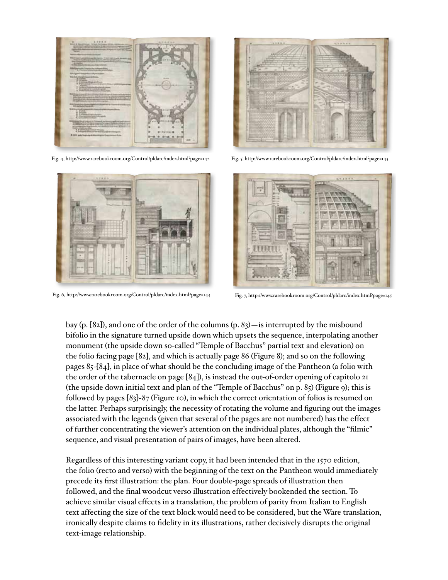

Fig. 4, http://www.rarebookroom.org/Control/pldarc/index.html?page=142 Fig. 5, http://www.rarebookroom.org/Control/pldarc/index.html?page=143





Fig. 6, http://www.rarebookroom.org/Control/pldarc/index.html?page=144 Fig. 7, http://www.rarebookroom.org/Control/pldarc/index.html?page=145



bay (p. [82]), and one of the order of the columns (p. 83)—is interrupted by the misbound bifolio in the signature turned upside down which upsets the sequence, interpolating another monument (the upside down so-called "Temple of Bacchus" partial text and elevation) on the folio facing page [82], and which is actually page 86 (Figure 8); and so on the following pages 85-[84], in place of what should be the concluding image of the Pantheon (a folio with the order of the tabernacle on page [84]), is instead the out-of-order opening of capitolo 21 (the upside down initial text and plan of the "Temple of Bacchus" on p. 85) (Figure 9); this is followed by pages [83]-87 (Figure 10), in which the correct orientation of folios is resumed on the latter. Perhaps surprisingly, the necessity of rotating the volume and figuring out the images associated with the legends (given that several of the pages are not numbered) has the effect of further concentrating the viewer's attention on the individual plates, although the "filmic" sequence, and visual presentation of pairs of images, have been altered.

Regardless of this interesting variant copy, it had been intended that in the 1570 edition, the folio (recto and verso) with the beginning of the text on the Pantheon would immediately precede its first illustration: the plan. Four double-page spreads of illustration then followed, and the final woodcut verso illustration effectively bookended the section. To achieve similar visual effects in a translation, the problem of parity from Italian to English text affecting the size of the text block would need to be considered, but the Ware translation, ironically despite claims to fidelity in its illustrations, rather decisively disrupts the original text-image relationship.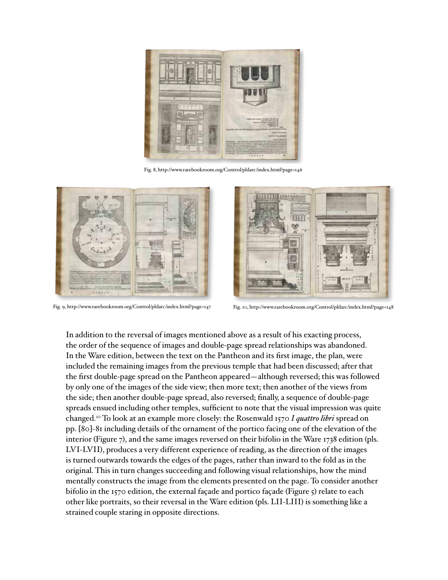

Fig. 8, http://www.rarebookroom.org/Control/pldarc/index.html?page=146



Fig. 9, http://www.rarebookroom.org/Control/pldarc/index.html?page=147 Fig. 10, http://www.rarebookroom.org/Control/pldarc/index.html?page=148



In addition to the reversal of images mentioned above as a result of his exacting process, the order of the sequence of images and double-page spread relationships was abandoned. In the Ware edition, between the text on the Pantheon and its first image, the plan, were included the remaining images from the previous temple that had been discussed; after that the first double-page spread on the Pantheon appeared—although reversed; this was followed by only one of the images of the side view; then more text; then another of the views from the side; then another double-page spread, also reversed; finally, a sequence of double-page spreads ensued including other temples, sufficient to note that the visual impression was quite changed.20 To look at an example more closely: the Rosenwald 1570 *I quattro libri* spread on pp. [80]-81 including details of the ornament of the portico facing one of the elevation of the interior (Figure 7), and the same images reversed on their bifolio in the Ware 1738 edition (pls. LVI-LVII), produces a very different experience of reading, as the direction of the images is turned outwards towards the edges of the pages, rather than inward to the fold as in the original. This in turn changes succeeding and following visual relationships, how the mind mentally constructs the image from the elements presented on the page. To consider another bifolio in the 1570 edition, the external façade and portico façade (Figure 5) relate to each other like portraits, so their reversal in the Ware edition (pls. LII-LIII) is something like a strained couple staring in opposite directions.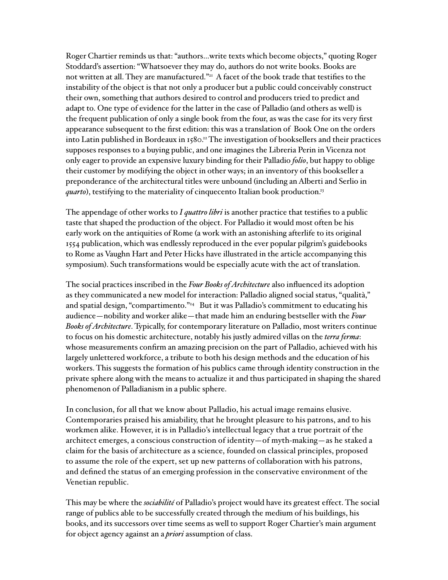Roger Chartier reminds us that: "authors…write texts which become objects," quoting Roger Stoddard's assertion: "Whatsoever they may do, authors do not write books. Books are not written at all. They are manufactured."<sup>21</sup> A facet of the book trade that testifies to the instability of the object is that not only a producer but a public could conceivably construct their own, something that authors desired to control and producers tried to predict and adapt to. One type of evidence for the latter in the case of Palladio (and others as well) is the frequent publication of only a single book from the four, as was the case for its very first appearance subsequent to the first edition: this was a translation of Book One on the orders into Latin published in Bordeaux in 1580.<sup>22</sup> The investigation of booksellers and their practices supposes responses to a buying public, and one imagines the Libreria Perin in Vicenza not only eager to provide an expensive luxury binding for their Palladio *folio*, but happy to oblige their customer by modifying the object in other ways; in an inventory of this bookseller a preponderance of the architectural titles were unbound (including an Alberti and Serlio in *quarto*), testifying to the materiality of cinquecento Italian book production.<sup>23</sup>

The appendage of other works to *I quattro libri* is another practice that testifies to a public taste that shaped the production of the object. For Palladio it would most often be his early work on the antiquities of Rome (a work with an astonishing afterlife to its original 1554 publication, which was endlessly reproduced in the ever popular pilgrim's guidebooks to Rome as Vaughn Hart and Peter Hicks have illustrated in the article accompanying this symposium). Such transformations would be especially acute with the act of translation.

The social practices inscribed in the *Four Books of Architecture* also influenced its adoption as they communicated a new model for interaction: Palladio aligned social status, "qualità," and spatial design, "compartimento."<sup>24</sup> But it was Palladio's commitment to educating his audience—nobility and worker alike—that made him an enduring bestseller with the *Four Books of Architecture*. Typically, for contemporary literature on Palladio, most writers continue to focus on his domestic architecture, notably his justly admired villas on the *terra ferma*: whose measurements confirm an amazing precision on the part of Palladio, achieved with his largely unlettered workforce, a tribute to both his design methods and the education of his workers. This suggests the formation of his publics came through identity construction in the private sphere along with the means to actualize it and thus participated in shaping the shared phenomenon of Palladianism in a public sphere.

In conclusion, for all that we know about Palladio, his actual image remains elusive. Contemporaries praised his amiability, that he brought pleasure to his patrons, and to his workmen alike. However, it is in Palladio's intellectual legacy that a true portrait of the architect emerges, a conscious construction of identity—of myth-making—as he staked a claim for the basis of architecture as a science, founded on classical principles, proposed to assume the role of the expert, set up new patterns of collaboration with his patrons, and defined the status of an emerging profession in the conservative environment of the Venetian republic.

This may be where the *sociabilité* of Palladio's project would have its greatest effect. The social range of publics able to be successfully created through the medium of his buildings, his books, and its successors over time seems as well to support Roger Chartier's main argument for object agency against an a *priori* assumption of class.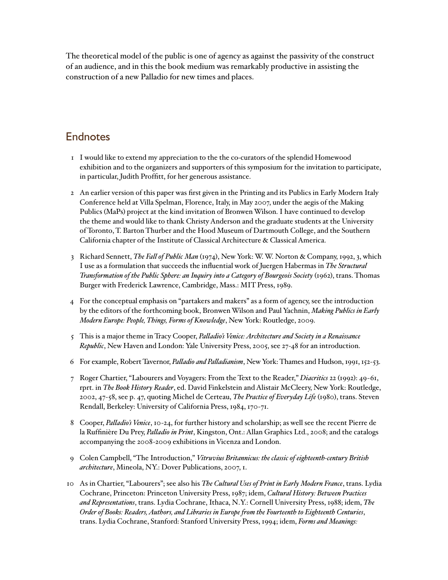The theoretical model of the public is one of agency as against the passivity of the construct of an audience, and in this the book medium was remarkably productive in assisting the construction of a new Palladio for new times and places.

## **Endnotes**

- 1 I would like to extend my appreciation to the the co-curators of the splendid Homewood exhibition and to the organizers and supporters of this symposium for the invitation to participate, in particular, Judith Proffitt, for her generous assistance.
- 2 An earlier version of this paper was first given in the Printing and its Publics in Early Modern Italy Conference held at Villa Spelman, Florence, Italy, in May 2007, under the aegis of the Making Publics (MaPs) project at the kind invitation of Bronwen Wilson. I have continued to develop the theme and would like to thank Christy Anderson and the graduate students at the University of Toronto, T. Barton Thurber and the Hood Museum of Dartmouth College, and the Southern California chapter of the Institute of Classical Architecture & Classical America.
- 3 Richard Sennett, *The Fall of Public Man* (1974), New York: W. W. Norton & Company, 1992, 3, which I use as a formulation that succeeds the influential work of Juergen Habermas in *The Structural Transformation of the Public Sphere: an Inquiry into a Category of Bourgeois Society* (1962), trans. Thomas Burger with Frederick Lawrence, Cambridge, Mass.: MIT Press, 1989.
- 4 For the conceptual emphasis on "partakers and makers" as a form of agency, see the introduction by the editors of the forthcoming book, Bronwen Wilson and Paul Yachnin, *Making Publics in Early Modern Europe: People, Things, Forms of Knowledge*, New York: Routledge, 2009.
- 5 This is a major theme in Tracy Cooper, *Palladio's Venice: Architecture and Society in a Renaissance Republic*, New Haven and London: Yale University Press, 2005, see 27-48 for an introduction.
- 6 For example, Robert Tavernor, *Palladio and Palladianism*, New York: Thames and Hudson, 1991, 152-53.
- 7 Roger Chartier, "Labourers and Voyagers: From the Text to the Reader," *Diacritics* 22 (1992): 49-61, rprt. in *The Book History Reader*, ed. David Finkelstein and Alistair McCleery, New York: Routledge, 2002, 47-58, see p. 47, quoting Michel de Certeau, *The Practice of Everyday Life* (1980), trans. Steven Rendall, Berkeley: University of California Press, 1984, 170-71.
- 8 Cooper, *Palladio's Venice*, 10-24, for further history and scholarship; as well see the recent Pierre de la Ruffinière Du Prey, *Palladio in Print*, Kingston, Ont.: Allan Graphics Ltd., 2008; and the catalogs accompanying the 2008-2009 exhibitions in Vicenza and London.
- 9 Colen Campbell, "The Introduction," *Vitruvius Britannicus: the classic of eighteenth-century British architecture*, Mineola, NY.: Dover Publications, 2007, 1.
- 10 As in Chartier, "Labourers"; see also his *The Cultural Uses of Print in Early Modern France*, trans. Lydia Cochrane, Princeton: Princeton University Press, 1987; idem, *Cultural History: Between Practices and Representations*, trans. Lydia Cochrane, Ithaca, N.Y.: Cornell University Press, 1988; idem, *The Order of Books: Readers, Authors, and Libraries in Europe from the Fourteenth to Eighteenth Centuries*, trans. Lydia Cochrane, Stanford: Stanford University Press, 1994; idem, *Forms and Meanings:*